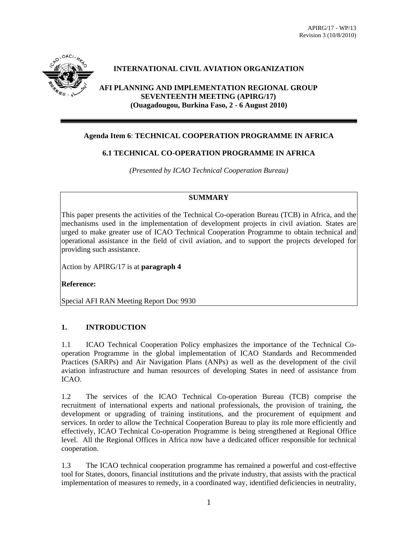

# **INTERNATIONAL CIVIL AVIATION ORGANIZATION**

**AFI PLANNING AND IMPLEMENTATION REGIONAL GROUP SEVENTEENTH MEETING (APIRG/17) (Ouagadougou, Burkina Faso, 2 - 6 August 2010)** 

## **Agenda Item 6**: **TECHNICAL COOPERATION PROGRAMME IN AFRICA**

### **6.1 TECHNICAL CO-OPERATION PROGRAMME IN AFRICA**

*(Presented by ICAO Technical Cooperation Bureau)* 

### **SUMMARY**

This paper presents the activities of the Technical Co-operation Bureau (TCB) in Africa, and the mechanisms used in the implementation of development projects in civil aviation. States are urged to make greater use of ICAO Technical Cooperation Programme to obtain technical and operational assistance in the field of civil aviation, and to support the projects developed for providing such assistance.

Action by APIRG/17 is at **paragraph 4** 

**Reference:** 

Special AFI RAN Meeting Report Doc 9930

# **1. INTRODUCTION**

1.1 ICAO Technical Cooperation Policy emphasizes the importance of the Technical Cooperation Programme in the global implementation of ICAO Standards and Recommended Practices (SARPs) and Air Navigation Plans (ANPs) as well as the development of the civil aviation infrastructure and human resources of developing States in need of assistance from ICAO.

1.2 The services of the ICAO Technical Co-operation Bureau (TCB) comprise the recruitment of international experts and national professionals, the provision of training, the development or upgrading of training institutions, and the procurement of equipment and services. In order to allow the Technical Cooperation Bureau to play its role more efficiently and effectively, ICAO Technical Co-operation Programme is being strengthened at Regional Office level. All the Regional Offices in Africa now have a dedicated officer responsible for technical cooperation.

1.3 The ICAO technical cooperation programme has remained a powerful and cost-effective tool for States, donors, financial institutions and the private industry, that assists with the practical implementation of measures to remedy, in a coordinated way, identified deficiencies in neutrality,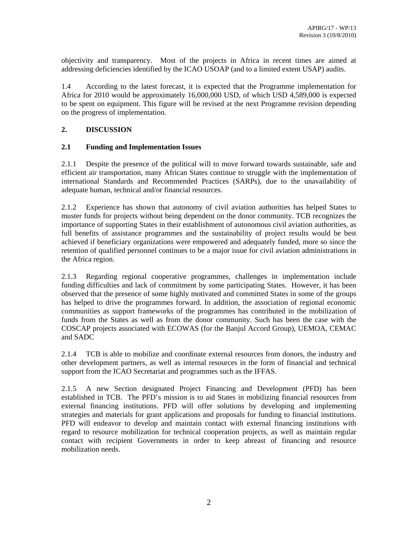objectivity and transparency. Most of the projects in Africa in recent times are aimed at addressing deficiencies identified by the ICAO USOAP (and to a limited extent USAP) audits.

1.4 According to the latest forecast, it is expected that the Programme implementation for Africa for 2010 would be approximately 16,000,000 USD, of which USD 4,589,000 is expected to be spent on equipment. This figure will be revised at the next Programme revision depending on the progress of implementation.

# **2. DISCUSSION**

### **2.1 Funding and Implementation Issues**

2.1.1 Despite the presence of the political will to move forward towards sustainable, safe and efficient air transportation, many African States continue to struggle with the implementation of international Standards and Recommended Practices (SARPs), due to the unavailability of adequate human, technical and/or financial resources.

2.1.2 Experience has shown that autonomy of civil aviation authorities has helped States to muster funds for projects without being dependent on the donor community. TCB recognizes the importance of supporting States in their establishment of autonomous civil aviation authorities, as full benefits of assistance programmes and the sustainability of project results would be best achieved if beneficiary organizations were empowered and adequately funded, more so since the retention of qualified personnel continues to be a major issue for civil aviation administrations in the Africa region.

2.1.3 Regarding regional cooperative programmes, challenges in implementation include funding difficulties and lack of commitment by some participating States. However, it has been observed that the presence of some highly motivated and committed States in some of the groups has helped to drive the programmes forward. In addition, the association of regional economic communities as support frameworks of the programmes has contributed in the mobilization of funds from the States as well as from the donor community. Such has been the case with the COSCAP projects associated with ECOWAS (for the Banjul Accord Group), UEMOA, CEMAC and SADC

2.1.4 TCB is able to mobilize and coordinate external resources from donors, the industry and other development partners, as well as internal resources in the form of financial and technical support from the ICAO Secretariat and programmes such as the IFFAS.

2.1.5 A new Section designated Project Financing and Development (PFD) has been established in TCB. The PFD's mission is to aid States in mobilizing financial resources from external financing institutions. PFD will offer solutions by developing and implementing strategies and materials for grant applications and proposals for funding to financial institutions. PFD will endeavor to develop and maintain contact with external financing institutions with regard to resource mobilization for technical cooperation projects, as well as maintain regular contact with recipient Governments in order to keep abreast of financing and resource mobilization needs.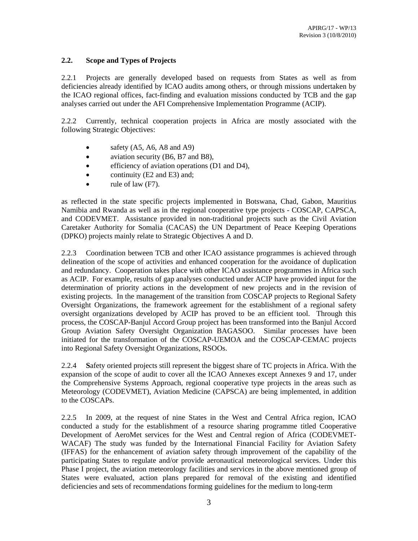## **2.2. Scope and Types of Projects**

2.2.1 Projects are generally developed based on requests from States as well as from deficiencies already identified by ICAO audits among others, or through missions undertaken by the ICAO regional offices, fact-finding and evaluation missions conducted by TCB and the gap analyses carried out under the AFI Comprehensive Implementation Programme (ACIP).

2.2.2 Currently, technical cooperation projects in Africa are mostly associated with the following Strategic Objectives:

- safety  $(A5, A6, A8 \text{ and } A9)$
- aviation security (B6, B7 and B8),
- efficiency of aviation operations (D1 and D4),
- continuity (E2 and E3) and;
- rule of law (F7).

as reflected in the state specific projects implemented in Botswana, Chad, Gabon, Mauritius Namibia and Rwanda as well as in the regional cooperative type projects - COSCAP, CAPSCA, and CODEVMET. Assistance provided in non-traditional projects such as the Civil Aviation Caretaker Authority for Somalia (CACAS) the UN Department of Peace Keeping Operations (DPKO) projects mainly relate to Strategic Objectives A and D.

2.2.3 Coordination between TCB and other ICAO assistance programmes is achieved through delineation of the scope of activities and enhanced cooperation for the avoidance of duplication and redundancy. Cooperation takes place with other ICAO assistance programmes in Africa such as ACIP. For example, results of gap analyses conducted under ACIP have provided input for the determination of priority actions in the development of new projects and in the revision of existing projects. In the management of the transition from COSCAP projects to Regional Safety Oversight Organizations, the framework agreement for the establishment of a regional safety oversight organizations developed by ACIP has proved to be an efficient tool. Through this process, the COSCAP-Banjul Accord Group project has been transformed into the Banjul Accord Group Aviation Safety Oversight Organization BAGASOO. Similar processes have been initiated for the transformation of the COSCAP-UEMOA and the COSCAP-CEMAC projects into Regional Safety Oversight Organizations, RSOOs.

2.2.4 **S**afety oriented projects still represent the biggest share of TC projects in Africa. With the expansion of the scope of audit to cover all the ICAO Annexes except Annexes 9 and 17, under the Comprehensive Systems Approach, regional cooperative type projects in the areas such as Meteorology (CODEVMET), Aviation Medicine (CAPSCA) are being implemented, in addition to the COSCAPs.

2.2.5 In 2009, at the request of nine States in the West and Central Africa region, ICAO conducted a study for the establishment of a resource sharing programme titled Cooperative Development of AeroMet services for the West and Central region of Africa (CODEVMET-WACAF) The study was funded by the International Financial Facility for Aviation Safety (IFFAS) for the enhancement of aviation safety through improvement of the capability of the participating States to regulate and/or provide aeronautical meteorological services. Under this Phase I project, the aviation meteorology facilities and services in the above mentioned group of States were evaluated, action plans prepared for removal of the existing and identified deficiencies and sets of recommendations forming guidelines for the medium to long-term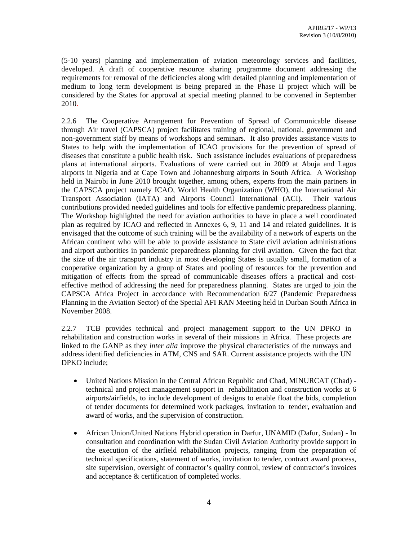(5-10 years) planning and implementation of aviation meteorology services and facilities, developed. A draft of cooperative resource sharing programme document addressing the requirements for removal of the deficiencies along with detailed planning and implementation of medium to long term development is being prepared in the Phase II project which will be considered by the States for approval at special meeting planned to be convened in September 2010.

2.2.6 The Cooperative Arrangement for Prevention of Spread of Communicable disease through Air travel (CAPSCA) project facilitates training of regional, national, government and non-government staff by means of workshops and seminars. It also provides assistance visits to States to help with the implementation of ICAO provisions for the prevention of spread of diseases that constitute a public health risk. Such assistance includes evaluations of preparedness plans at international airports. Evaluations of were carried out in 2009 at Abuja and Lagos airports in Nigeria and at Cape Town and Johannesburg airports in South Africa. A Workshop held in Nairobi in June 2010 brought together, among others, experts from the main partners in the CAPSCA project namely ICAO, World Health Organization (WHO), the International Air Transport Association (IATA) and Airports Council International (ACI). Their various contributions provided needed guidelines and tools for effective pandemic preparedness planning. The Workshop highlighted the need for aviation authorities to have in place a well coordinated plan as required by ICAO and reflected in Annexes 6, 9, 11 and 14 and related guidelines. It is envisaged that the outcome of such training will be the availability of a network of experts on the African continent who will be able to provide assistance to State civil aviation administrations and airport authorities in pandemic preparedness planning for civil aviation. Given the fact that the size of the air transport industry in most developing States is usually small, formation of a cooperative organization by a group of States and pooling of resources for the prevention and mitigation of effects from the spread of communicable diseases offers a practical and costeffective method of addressing the need for preparedness planning. States are urged to join the CAPSCA Africa Project in accordance with Recommendation 6/27 (Pandemic Preparedness Planning in the Aviation Sector) of the Special AFI RAN Meeting held in Durban South Africa in November 2008.

2.2.7TCB provides technical and project management support to the UN DPKO in rehabilitation and construction works in several of their missions in Africa. These projects are linked to the GANP as they *inter alia* improve the physical characteristics of the runways and address identified deficiencies in ATM, CNS and SAR. Current assistance projects with the UN DPKO include;

- United Nations Mission in the Central African Republic and Chad, MINURCAT (Chad) technical and project management support in rehabilitation and construction works at 6 airports/airfields, to include development of designs to enable float the bids, completion of tender documents for determined work packages, invitation to tender, evaluation and award of works, and the supervision of construction.
- African Union/United Nations Hybrid operation in Darfur, UNAMID (Dafur, Sudan) In consultation and coordination with the Sudan Civil Aviation Authority provide support in the execution of the airfield rehabilitation projects, ranging from the preparation of technical specifications, statement of works, invitation to tender, contract award process, site supervision, oversight of contractor's quality control, review of contractor's invoices and acceptance & certification of completed works.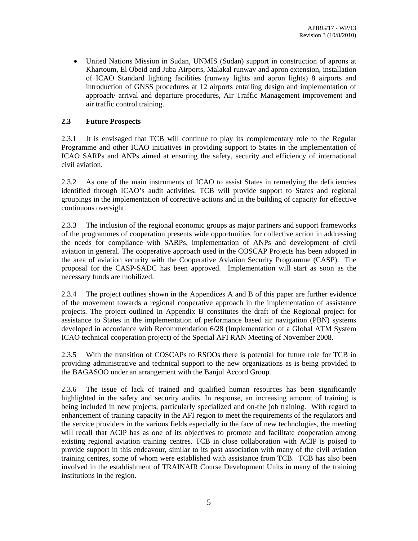• United Nations Mission in Sudan, UNMIS (Sudan) support in construction of aprons at Khartoum, El Obeid and Juba Airports, Malakal runway and apron extension, installation of ICAO Standard lighting facilities (runway lights and apron lights) 8 airports and introduction of GNSS procedures at 12 airports entailing design and implementation of approach/ arrival and departure procedures, Air Traffic Management improvement and air traffic control training.

## **2.3 Future Prospects**

2.3.1 It is envisaged that TCB will continue to play its complementary role to the Regular Programme and other ICAO initiatives in providing support to States in the implementation of ICAO SARPs and ANPs aimed at ensuring the safety, security and efficiency of international civil aviation.

2.3.2 As one of the main instruments of ICAO to assist States in remedying the deficiencies identified through ICAO's audit activities, TCB will provide support to States and regional groupings in the implementation of corrective actions and in the building of capacity for effective continuous oversight.

2.3.3 The inclusion of the regional economic groups as major partners and support frameworks of the programmes of cooperation presents wide opportunities for collective action in addressing the needs for compliance with SARPs, implementation of ANPs and development of civil aviation in general. The cooperative approach used in the COSCAP Projects has been adopted in the area of aviation security with the Cooperative Aviation Security Programme (CASP). The proposal for the CASP-SADC has been approved. Implementation will start as soon as the necessary funds are mobilized.

2.3.4 The project outlines shown in the Appendices A and B of this paper are further evidence of the movement towards a regional cooperative approach in the implementation of assistance projects. The project outlined in Appendix B constitutes the draft of the Regional project for assistance to States in the implementation of performance based air navigation (PBN) systems developed in accordance with Recommendation 6/28 (Implementation of a Global ATM System ICAO technical cooperation project) of the Special AFI RAN Meeting of November 2008.

2.3.5 With the transition of COSCAPs to RSOOs there is potential for future role for TCB in providing administrative and technical support to the new organizations as is being provided to the BAGASOO under an arrangement with the Banjul Accord Group.

2.3.6 The issue of lack of trained and qualified human resources has been significantly highlighted in the safety and security audits. In response, an increasing amount of training is being included in new projects, particularly specialized and on-the job training. With regard to enhancement of training capacity in the AFI region to meet the requirements of the regulators and the service providers in the various fields especially in the face of new technologies, the meeting will recall that ACIP has as one of its objectives to promote and facilitate cooperation among existing regional aviation training centres. TCB in close collaboration with ACIP is poised to provide support in this endeavour, similar to its past association with many of the civil aviation training centres, some of whom were established with assistance from TCB. TCB has also been involved in the establishment of TRAINAIR Course Development Units in many of the training institutions in the region.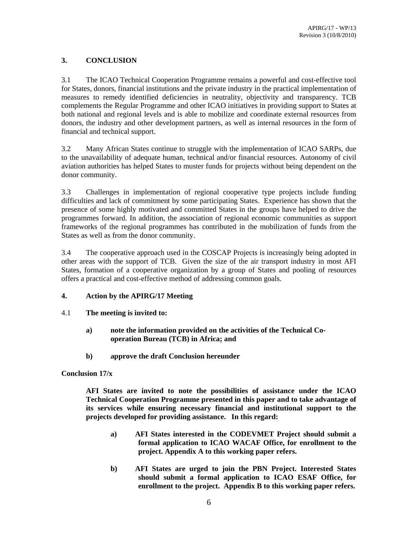# **3. CONCLUSION**

3.1 The ICAO Technical Cooperation Programme remains a powerful and cost-effective tool for States, donors, financial institutions and the private industry in the practical implementation of measures to remedy identified deficiencies in neutrality, objectivity and transparency. TCB complements the Regular Programme and other ICAO initiatives in providing support to States at both national and regional levels and is able to mobilize and coordinate external resources from donors, the industry and other development partners, as well as internal resources in the form of financial and technical support.

3.2 Many African States continue to struggle with the implementation of ICAO SARPs, due to the unavailability of adequate human, technical and/or financial resources. Autonomy of civil aviation authorities has helped States to muster funds for projects without being dependent on the donor community.

3.3 Challenges in implementation of regional cooperative type projects include funding difficulties and lack of commitment by some participating States. Experience has shown that the presence of some highly motivated and committed States in the groups have helped to drive the programmes forward. In addition, the association of regional economic communities as support frameworks of the regional programmes has contributed in the mobilization of funds from the States as well as from the donor community.

3.4 The cooperative approach used in the COSCAP Projects is increasingly being adopted in other areas with the support of TCB. Given the size of the air transport industry in most AFI States, formation of a cooperative organization by a group of States and pooling of resources offers a practical and cost-effective method of addressing common goals.

### **4. Action by the APIRG/17 Meeting**

- 4.1 **The meeting is invited to:** 
	- **a) note the information provided on the activities of the Technical Cooperation Bureau (TCB) in Africa; and**
	- **b) approve the draft Conclusion hereunder**

#### **Conclusion 17/x**

**AFI States are invited to note the possibilities of assistance under the ICAO Technical Cooperation Programme presented in this paper and to take advantage of its services while ensuring necessary financial and institutional support to the projects developed for providing assistance. In this regard:** 

- **a) AFI States interested in the CODEVMET Project should submit a formal application to ICAO WACAF Office, for enrollment to the project. Appendix A to this working paper refers.**
- **b) AFI States are urged to join the PBN Project. Interested States should submit a formal application to ICAO ESAF Office, for enrollment to the project. Appendix B to this working paper refers.**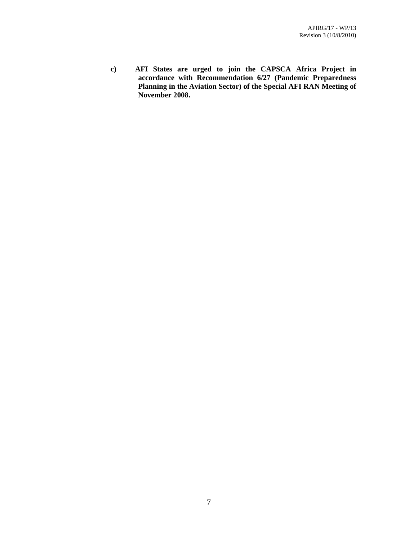**c) AFI States are urged to join the CAPSCA Africa Project in accordance with Recommendation 6/27 (Pandemic Preparedness Planning in the Aviation Sector) of the Special AFI RAN Meeting of November 2008.**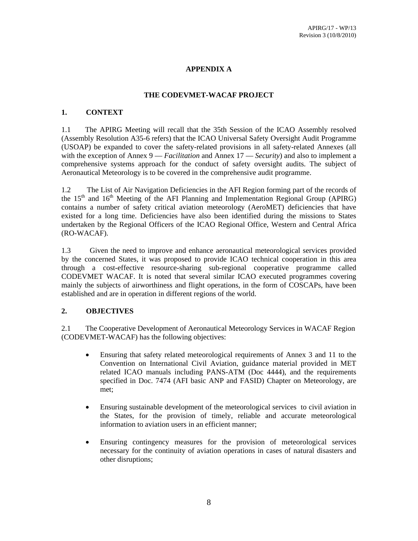# **APPENDIX A**

#### **THE CODEVMET-WACAF PROJECT**

#### **1. CONTEXT**

1.1 The APIRG Meeting will recall that the 35th Session of the ICAO Assembly resolved (Assembly Resolution A35-6 refers) that the ICAO Universal Safety Oversight Audit Programme (USOAP) be expanded to cover the safety-related provisions in all safety-related Annexes (all with the exception of Annex 9 — *Facilitation* and Annex 17 — *Security*) and also to implement a comprehensive systems approach for the conduct of safety oversight audits. The subject of Aeronautical Meteorology is to be covered in the comprehensive audit programme.

1.2 The List of Air Navigation Deficiencies in the AFI Region forming part of the records of the  $15<sup>th</sup>$  and  $16<sup>th</sup>$  Meeting of the AFI Planning and Implementation Regional Group (APIRG) contains a number of safety critical aviation meteorology (AeroMET) deficiencies that have existed for a long time. Deficiencies have also been identified during the missions to States undertaken by the Regional Officers of the ICAO Regional Office, Western and Central Africa (RO-WACAF).

1.3 Given the need to improve and enhance aeronautical meteorological services provided by the concerned States, it was proposed to provide ICAO technical cooperation in this area through a cost-effective resource-sharing sub-regional cooperative programme called CODEVMET WACAF. It is noted that several similar ICAO executed programmes covering mainly the subjects of airworthiness and flight operations, in the form of COSCAPs, have been established and are in operation in different regions of the world.

#### **2. OBJECTIVES**

2.1 The Cooperative Development of Aeronautical Meteorology Services in WACAF Region (CODEVMET-WACAF) has the following objectives:

- Ensuring that safety related meteorological requirements of Annex 3 and 11 to the Convention on International Civil Aviation, guidance material provided in MET related ICAO manuals including PANS-ATM (Doc 4444), and the requirements specified in Doc. 7474 (AFI basic ANP and FASID) Chapter on Meteorology, are met;
- Ensuring sustainable development of the meteorological services to civil aviation in the States, for the provision of timely, reliable and accurate meteorological information to aviation users in an efficient manner;
- Ensuring contingency measures for the provision of meteorological services necessary for the continuity of aviation operations in cases of natural disasters and other disruptions;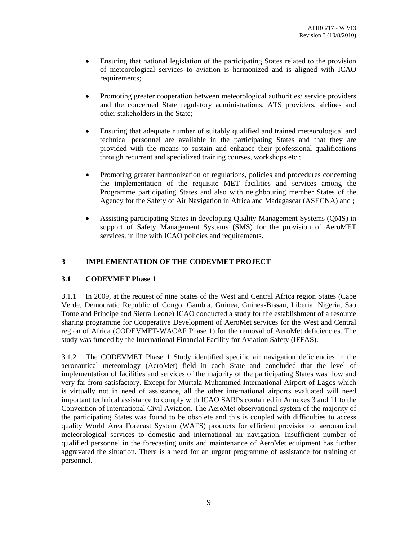- Ensuring that national legislation of the participating States related to the provision of meteorological services to aviation is harmonized and is aligned with ICAO requirements;
- Promoting greater cooperation between meteorological authorities/ service providers and the concerned State regulatory administrations, ATS providers, airlines and other stakeholders in the State;
- Ensuring that adequate number of suitably qualified and trained meteorological and technical personnel are available in the participating States and that they are provided with the means to sustain and enhance their professional qualifications through recurrent and specialized training courses, workshops etc.;
- Promoting greater harmonization of regulations, policies and procedures concerning the implementation of the requisite MET facilities and services among the Programme participating States and also with neighbouring member States of the Agency for the Safety of Air Navigation in Africa and Madagascar (ASECNA) and ;
- Assisting participating States in developing Quality Management Systems (QMS) in support of Safety Management Systems (SMS) for the provision of AeroMET services, in line with ICAO policies and requirements.

### **3 IMPLEMENTATION OF THE CODEVMET PROJECT**

#### **3.1 CODEVMET Phase 1**

3.1.1 In 2009, at the request of nine States of the West and Central Africa region States (Cape Verde, Democratic Republic of Congo, Gambia, Guinea, Guinea-Bissau, Liberia, Nigeria, Sao Tome and Principe and Sierra Leone) ICAO conducted a study for the establishment of a resource sharing programme for Cooperative Development of AeroMet services for the West and Central region of Africa (CODEVMET-WACAF Phase 1) for the removal of AeroMet deficiencies. The study was funded by the International Financial Facility for Aviation Safety (IFFAS).

3.1.2 The CODEVMET Phase 1 Study identified specific air navigation deficiencies in the aeronautical meteorology (AeroMet) field in each State and concluded that the level of implementation of facilities and services of the majority of the participating States was low and very far from satisfactory. Except for Murtala Muhammed International Airport of Lagos which is virtually not in need of assistance, all the other international airports evaluated will need important technical assistance to comply with ICAO SARPs contained in Annexes 3 and 11 to the Convention of International Civil Aviation. The AeroMet observational system of the majority of the participating States was found to be obsolete and this is coupled with difficulties to access quality World Area Forecast System (WAFS) products for efficient provision of aeronautical meteorological services to domestic and international air navigation. Insufficient number of qualified personnel in the forecasting units and maintenance of AeroMet equipment has further aggravated the situation. There is a need for an urgent programme of assistance for training of personnel.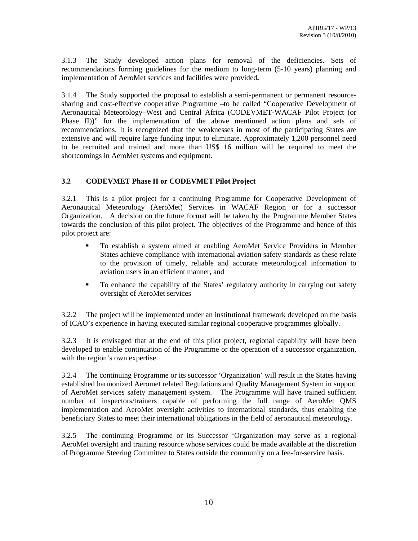3.1.3 The Study developed action plans for removal of the deficiencies. Sets of recommendations forming guidelines for the medium to long-term (5-10 years) planning and implementation of AeroMet services and facilities were provided**.**

3.1.4 The Study supported the proposal to establish a semi-permanent or permanent resourcesharing and cost-effective cooperative Programme –to be called "Cooperative Development of Aeronautical Meteorology–West and Central Africa (CODEVMET-WACAF Pilot Project (or Phase II))" for the implementation of the above mentioned action plans and sets of recommendations. It is recognized that the weaknesses in most of the participating States are extensive and will require large funding input to eliminate. Approximately 1,200 personnel need to be recruited and trained and more than US\$ 16 million will be required to meet the shortcomings in AeroMet systems and equipment.

# **3.2 CODEVMET Phase II or CODEVMET Pilot Project**

3.2.1 This is a pilot project for a continuing Programme for Cooperative Development of Aeronautical Meteorology (AeroMet) Services in WACAF Region or for a successor Organization. A decision on the future format will be taken by the Programme Member States towards the conclusion of this pilot project. The objectives of the Programme and hence of this pilot project are:

- To establish a system aimed at enabling AeroMet Service Providers in Member States achieve compliance with international aviation safety standards as these relate to the provision of timely, reliable and accurate meteorological information to aviation users in an efficient manner, and
- To enhance the capability of the States' regulatory authority in carrying out safety oversight of AeroMet services

3.2.2 The project will be implemented under an institutional framework developed on the basis of ICAO's experience in having executed similar regional cooperative programmes globally.

3.2.3 It is envisaged that at the end of this pilot project, regional capability will have been developed to enable continuation of the Programme or the operation of a successor organization, with the region's own expertise.

3.2.4 The continuing Programme or its successor 'Organization' will result in the States having established harmonized Aeromet related Regulations and Quality Management System in support of AeroMet services safety management system. The Programme will have trained sufficient number of inspectors/trainers capable of performing the full range of AeroMet QMS implementation and AeroMet oversight activities to international standards, thus enabling the beneficiary States to meet their international obligations in the field of aeronautical meteorology.

3.2.5 The continuing Programme or its Successor 'Organization may serve as a regional AeroMet oversight and training resource whose services could be made available at the discretion of Programme Steering Committee to States outside the community on a fee-for-service basis.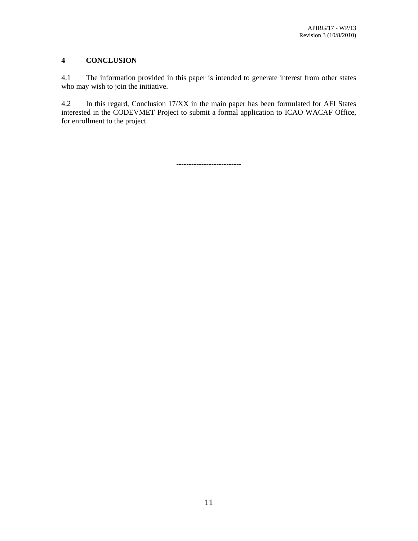# **4 CONCLUSION**

4.1 The information provided in this paper is intended to generate interest from other states who may wish to join the initiative.

4.2 In this regard, Conclusion 17/XX in the main paper has been formulated for AFI States interested in the CODEVMET Project to submit a formal application to ICAO WACAF Office, for enrollment to the project.

--------------------------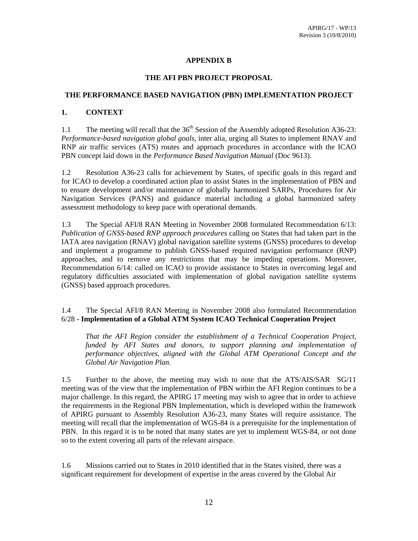# **APPENDIX B**

#### **THE AFI PBN PROJECT PROPOSAL**

#### **THE PERFORMANCE BASED NAVIGATION (PBN) IMPLEMENTATION PROJECT**

### **1. CONTEXT**

1.1 The meeting will recall that the  $36<sup>th</sup>$  Session of the Assembly adopted Resolution A36-23: *Performance-based navigation global goals*, inter alia, urging all States to implement RNAV and RNP air traffic services (ATS) routes and approach procedures in accordance with the ICAO PBN concept laid down in the *Performance Based Navigation Manual* (Doc 9613).

1.2 Resolution A36-23 calls for achievement by States, of specific goals in this regard and for ICAO to develop a coordinated action plan to assist States in the implementation of PBN and to ensure development and/or maintenance of globally harmonized SARPs, Procedures for Air Navigation Services (PANS) and guidance material including a global harmonized safety assessment methodology to keep pace with operational demands.

1.3 The Special AFI/8 RAN Meeting in November 2008 formulated Recommendation 6/13: *Publication of GNSS-based RNP approach procedures* calling on States that had taken part in the IATA area navigation (RNAV) global navigation satellite systems (GNSS) procedures to develop and implement a programme to publish GNSS-based required navigation performance (RNP) approaches, and to remove any restrictions that may be impeding operations. Moreover, Recommendation 6/14: called on ICAO to provide assistance to States in overcoming legal and regulatory difficulties associated with implementation of global navigation satellite systems (GNSS) based approach procedures.

### 1.4 The Special AFI/8 RAN Meeting in November 2008 also formulated Recommendation 6/28 - **Implementation of a Global ATM System ICAO Technical Cooperation Project**

*That the AFI Region consider the establishment of a Technical Cooperation Project, funded by AFI States and donors, to support planning and implementation of performance objectives, aligned with the Global ATM Operational Concept and the Global Air Navigation Plan.* 

1.5 Further to the above, the meeting may wish to note that the ATS/AIS/SAR SG/11 meeting was of the view that the implementation of PBN within the AFI Region continues to be a major challenge. In this regard, the APIRG 17 meeting may wish to agree that in order to achieve the requirements in the Regional PBN Implementation, which is developed within the framework of APIRG pursuant to Assembly Resolution A36-23, many States will require assistance. The meeting will recall that the implementation of WGS-84 is a prerequisite for the implementation of PBN. In this regard it is to be noted that many states are yet to implement WGS-84, or not done so to the extent covering all parts of the relevant airspace.

1.6 Missions carried out to States in 2010 identified that in the States visited, there was a significant requirement for development of expertise in the areas covered by the Global Air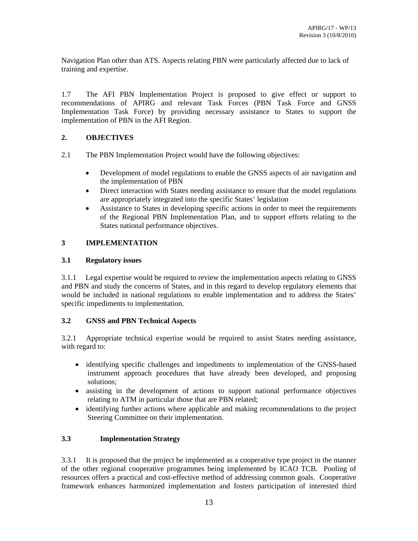Navigation Plan other than ATS. Aspects relating PBN were particularly affected due to lack of training and expertise.

1.7 The AFI PBN Implementation Project is proposed to give effect or support to recommendations of APIRG and relevant Task Forces (PBN Task Force and GNSS Implementation Task Force) by providing necessary assistance to States to support the implementation of PBN in the AFI Region.

# **2. OBJECTIVES**

- 2.1 The PBN Implementation Project would have the following objectives:
	- Development of model regulations to enable the GNSS aspects of air navigation and the implementation of PBN
	- Direct interaction with States needing assistance to ensure that the model regulations are appropriately integrated into the specific States' legislation
	- Assistance to States in developing specific actions in order to meet the requirements of the Regional PBN Implementation Plan, and to support efforts relating to the States national performance objectives.

# **3 IMPLEMENTATION**

### **3.1 Regulatory issues**

3.1.1 Legal expertise would be required to review the implementation aspects relating to GNSS and PBN and study the concerns of States, and in this regard to develop regulatory elements that would be included in national regulations to enable implementation and to address the States' specific impediments to implementation.

# **3.2 GNSS and PBN Technical Aspects**

3.2.1 Appropriate technical expertise would be required to assist States needing assistance, with regard to:

- identifying specific challenges and impediments to implementation of the GNSS-based instrument approach procedures that have already been developed, and proposing solutions;
- assisting in the development of actions to support national performance objectives relating to ATM in particular those that are PBN related;
- identifying further actions where applicable and making recommendations to the project Steering Committee on their implementation.

# **3.3 Implementation Strategy**

3.3.1 It is proposed that the project be implemented as a cooperative type project in the manner of the other regional cooperative programmes being implemented by ICAO TCB. Pooling of resources offers a practical and cost-effective method of addressing common goals. Cooperative framework enhances harmonized implementation and fosters participation of interested third